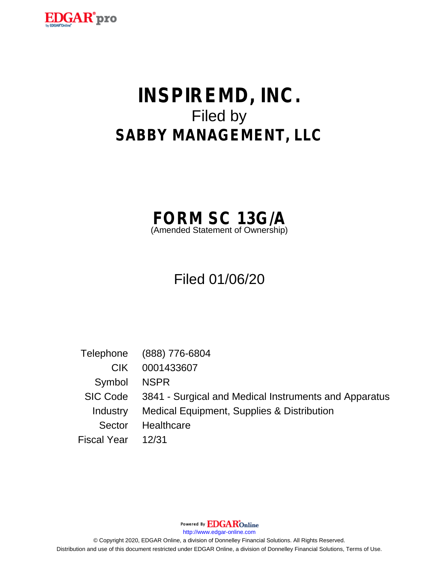

# **INSPIREMD, INC.** Filed by **SABBY MANAGEMENT, LLC**



# Filed 01/06/20

Telephone (888) 776-6804 CIK 0001433607 Symbol NSPR SIC Code 3841 - Surgical and Medical Instruments and Apparatus Industry Medical Equipment, Supplies & Distribution Sector Healthcare Fiscal Year 12/31

Powered By **EDGAR**Online

http://www.edgar-online.com

© Copyright 2020, EDGAR Online, a division of Donnelley Financial Solutions. All Rights Reserved. Distribution and use of this document restricted under EDGAR Online, a division of Donnelley Financial Solutions, Terms of Use.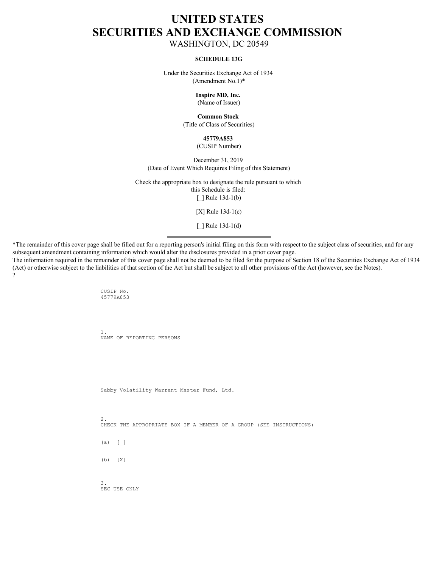# **UNITED STATES SECURITIES AND EXCHANGE COMMISSION**

WASHINGTON, DC 20549

#### **SCHEDULE 13G**

Under the Securities Exchange Act of 1934 (Amendment No.1)\*

> **Inspire MD, Inc.** (Name of Issuer)

# **Common Stock**

(Title of Class of Securities)

### **45779A853**

#### (CUSIP Number)

December 31, 2019 (Date of Event Which Requires Filing of this Statement)

Check the appropriate box to designate the rule pursuant to which this Schedule is filed: [\_] Rule 13d-1(b)

[X] Rule 13d-1(c)

[\_] Rule 13d-1(d)

\*The remainder of this cover page shall be filled out for a reporting person's initial filing on this form with respect to the subject class of securities, and for any subsequent amendment containing information which would alter the disclosures provided in a prior cover page.

The information required in the remainder of this cover page shall not be deemed to be filed for the purpose of Section 18 of the Securities Exchange Act of 1934 (Act) or otherwise subject to the liabilities of that section of the Act but shall be subject to all other provisions of the Act (however, see the Notes). ?

> CUSIP No. 45779A853

1. NAME OF REPORTING PERSONS

Sabby Volatility Warrant Master Fund, Ltd.

2. CHECK THE APPROPRIATE BOX IF A MEMBER OF A GROUP (SEE INSTRUCTIONS)

 $(a)$  []

(b) [X]

3. SEC USE ONLY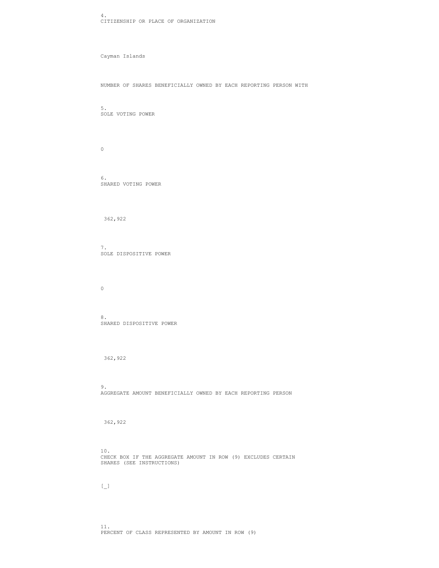4. CITIZENSHIP OR PLACE OF ORGANIZATION

Cayman Islands

NUMBER OF SHARES BENEFICIALLY OWNED BY EACH REPORTING PERSON WITH

5. SOLE VOTING POWER

 $\overline{0}$ 

6. SHARED VOTING POWER

362,922

7. SOLE DISPOSITIVE POWER

 $\overline{0}$ 

8. Second state of the state of the state of the state of the state of the state of the state of the state of the state of the state of the state of the state of the state of the state of the state of the state of the stat SHARED DISPOSITIVE POWER

362,922

9. AGGREGATE AMOUNT BENEFICIALLY OWNED BY EACH REPORTING PERSON

362,922

10.

CHECK BOX IF THE AGGREGATE AMOUNT IN ROW (9) EXCLUDES CERTAIN SHARES (SEE INSTRUCTIONS)

 $\begin{bmatrix} 1 & 1 & 1 \end{bmatrix}$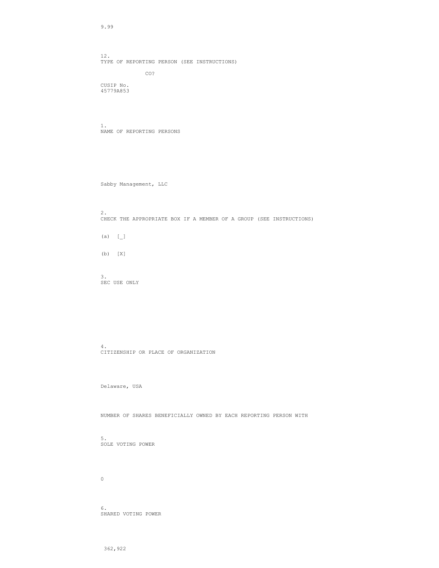9.99

12. TYPE OF REPORTING PERSON (SEE INSTRUCTIONS) CO?

CUSIP No. 45779A853

1. NAME OF REPORTING PERSONS

Sabby Management, LLC

2. CHECK THE APPROPRIATE BOX IF A MEMBER OF A GROUP (SEE INSTRUCTIONS) (a)  $[-]$ (b) [X]

3. SEC USE ONLY

4. CITIZENSHIP OR PLACE OF ORGANIZATION

Delaware, USA

NUMBER OF SHARES BENEFICIALLY OWNED BY EACH REPORTING PERSON WITH

5. SOLE VOTING POWER

 $\overline{0}$ 

6. SHARED VOTING POWER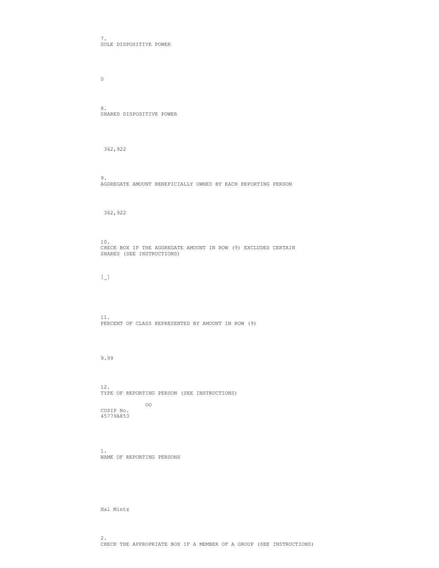7. SOLE DISPOSITIVE POWER

 $\overline{0}$ 

8. Second state of the state of the state of the state of the state of the state of the state of the state of the state of the state of the state of the state of the state of the state of the state of the state of the stat SHARED DISPOSITIVE POWER

362,922

9. AGGREGATE AMOUNT BENEFICIALLY OWNED BY EACH REPORTING PERSON

362,922

10. CHECK BOX IF THE AGGREGATE AMOUNT IN ROW (9) EXCLUDES CERTAIN SHARES (SEE INSTRUCTIONS)

 $\begin{bmatrix} 1 & 1 \end{bmatrix}$ 

11. PERCENT OF CLASS REPRESENTED BY AMOUNT IN ROW (9)

9.99

12. TYPE OF REPORTING PERSON (SEE INSTRUCTIONS) oo dhaqaala ah iyo dhaqaala ah iyo dhaqaala ah iyo dhaqaala ah iyo dhaqaala ah iyo dhaqaala ah iyo dhaqaala ah<br>Qoraala ah iyo dhaqaala ah iyo dhaqaala ah iyo dhaqaala ah iyo dhaqaala ah iyo dhaqaala ah iyo dhaqaala ah iyo CUSIP No. 45779A853

1. NAME OF REPORTING PERSONS

Hal Mintz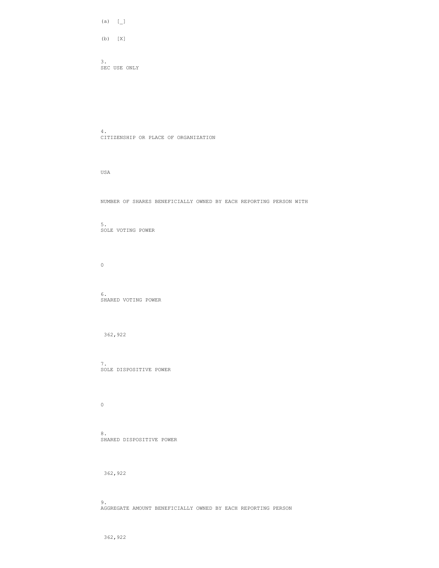(a)  $[\_]$ 

(b) [X]

3. SEC USE ONLY

4. CITIZENSHIP OR PLACE OF ORGANIZATION

USA

NUMBER OF SHARES BENEFICIALLY OWNED BY EACH REPORTING PERSON WITH

5. SOLE VOTING POWER

 $\overline{0}$ 

6. SHARED VOTING POWER

362,922

7. SOLE DISPOSITIVE POWER

 $\overline{0}$ 

8. Second state of the state of the state of the state of the state of the state of the state of the state of the state of the state of the state of the state of the state of the state of the state of the state of the stat SHARED DISPOSITIVE POWER

362,922

9. AGGREGATE AMOUNT BENEFICIALLY OWNED BY EACH REPORTING PERSON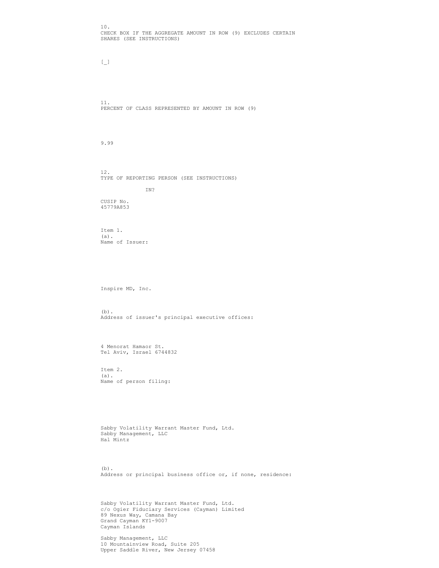10. CHECK BOX IF THE AGGREGATE AMOUNT IN ROW (9) EXCLUDES CERTAIN SHARES (SEE INSTRUCTIONS)

 $\begin{bmatrix} 1 & 1 & 1 \end{bmatrix}$ 

11. PERCENT OF CLASS REPRESENTED BY AMOUNT IN ROW (9)

9.99

12. TYPE OF REPORTING PERSON (SEE INSTRUCTIONS) IN?

CUSIP No. 45779A853

Item  $1.$  (a). (a). Name of Issuer:

Inspire MD, Inc.

(b). Address of issuer's principal executive offices:

4 Menorat Hamaor St. Tel Aviv, Israel 6744832

Item 2. (a). Name of person filing:

Sabby Volatility Warrant Master Fund, Ltd. Sabby Management, LLC Hal Mintz

(b). Address or principal business office or, if none, residence:

Sabby Volatility Warrant Master Fund, Ltd. c/o Ogier Fiduciary Services (Cayman) Limited 89 Nexus Way, Camana Bay Grand Cayman KY1-9007 Cayman Islands

Sabby Management, LLC 10 Mountainview Road, Suite 205 Upper Saddle River, New Jersey 07458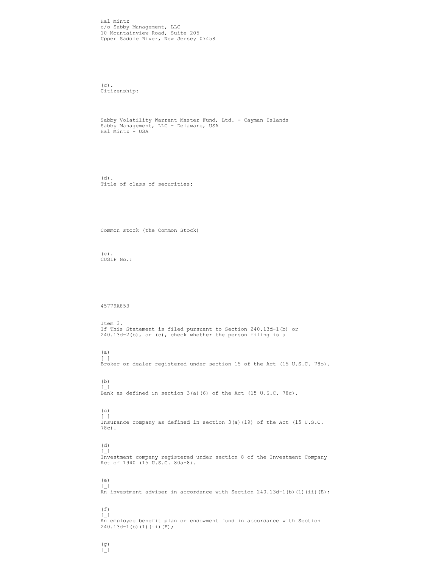Hal Mintz c/o Sabby Management, LLC 10 Mountainview Road, Suite 205 Upper Saddle River, New Jersey 07458

(c). Citizenship:

Sabby Volatility Warrant Master Fund, Ltd. - Cayman Islands Sabby Management, LLC - Delaware, USA Hal Mintz - USA

(d). Title of class of securities:

Common stock (the Common Stock)

(e). CUSIP No.:

45779A853

Item 3. If This Statement is filed pursuant to Section 240.13d-1(b) or 240.13d-2(b), or (c), check whether the person filing is a

(a)  $\begin{bmatrix} 1 & 1 & 1 \end{bmatrix}$ Broker or dealer registered under section 15 of the Act (15 U.S.C. 78o).

(b)  $\begin{bmatrix} 1 & 1 & 1 \end{bmatrix}$ Bank as defined in section 3(a)(6) of the Act (15 U.S.C. 78c).

(c)

 $\begin{bmatrix} 1 & 1 & 1 \end{bmatrix}$ Insurance company as defined in section 3(a)(19) of the Act (15 U.S.C. 78c).

(d)

 $\begin{bmatrix} 1 & 1 \end{bmatrix}$ Investment company registered under section 8 of the Investment Company Act of 1940 (15 U.S.C. 80a-8).

(e)

 $\begin{bmatrix} 1 & 1 & 1 \end{bmatrix}$ An investment adviser in accordance with Section 240.13d-1(b)(1)(ii)(E);

#### $(f)$

 $\begin{bmatrix} 0 \\ 1 \end{bmatrix}$ 

 $\begin{bmatrix} 1 & 1 & 1 \end{bmatrix}$ An employee benefit plan or endowment fund in accordance with Section  $240.13d-1$ (b)(1)(ii)(F);

(g)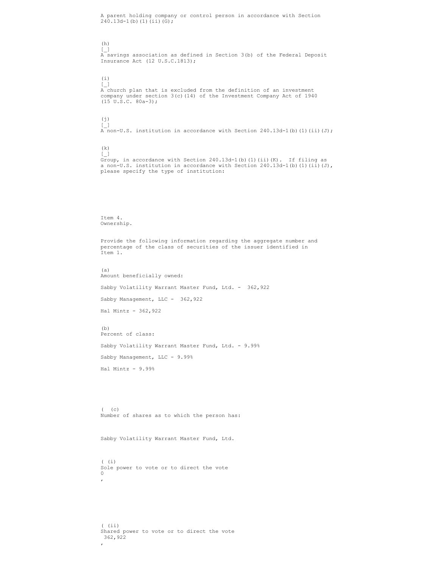A parent holding company or control person in accordance with Section  $240.13d-1$ (b)(1)(ii)(G);

### (h)

 $\begin{bmatrix} 1 & 1 \end{bmatrix}$ A savings association as defined in Section 3(b) of the Federal Deposit Insurance Act (12 U.S.C.1813);

## $(i)$

 $\begin{bmatrix} 1 & 1 & 1 \end{bmatrix}$ A church plan that is excluded from the definition of an investment company under section 3(c)(14) of the Investment Company Act of 1940  $(15 \t{U}.\t{S}.C. 80a-3);$ 

## $(j)$

 $\begin{bmatrix} 1 & 1 & 1 \end{bmatrix}$ A non-U.S. institution in accordance with Section 240.13d-1(b)(1)(ii)(J);

# (k)

 $\begin{bmatrix} 1 & 1 & 1 \end{bmatrix}$ Group, in accordance with Section 240.13d-1(b)(1)(ii)(K). If filing as a non-U.S. institution in accordance with Section  $240.13d-1$ (b)(1)(ii)(J), please specify the type of institution:

#### Item 4. Ownership.

Provide the following information regarding the aggregate number and percentage of the class of securities of the issuer identified in Item 1.

#### (a)

Amount beneficially owned: Sabby Volatility Warrant Master Fund, Ltd. - 362,922 Sabby Management, LLC - 362, 922 Hal Mintz - 362,922

#### (b)

Percent of class: Sabby Volatility Warrant Master Fund, Ltd. - 9.99% Sabby Management, LLC - 9.99% Hal Mintz - 9.99%

( (c) Number of shares as to which the person has:

Sabby Volatility Warrant Master Fund, Ltd.

#### $($  (i) Sole power to vote or to direct the vote  $\overline{0}$  $\mathbf{r}$

 $($  (ii) Shared power to vote or to direct the vote 362,922 ,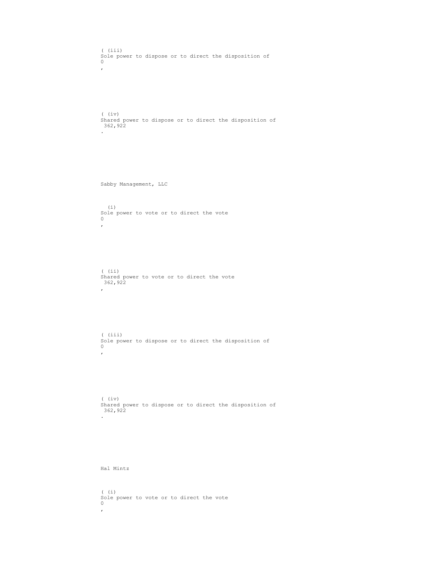```
( (iii)
Sole power to dispose or to direct the disposition of
\overline{0}\mathbf{r}(iv)Shared power to dispose or to direct the disposition of
 362,922
. The contract of the contract of the contract of the contract of the contract of
Sabby Management, LLC
(i)Sole power to vote or to direct the vote
\overline{0}\mathbf{r}( (ii)
Shared power to vote or to direct the vote
 362,922
\mathbf{r}( (iii)
Sole power to dispose or to direct the disposition of
\overline{0}\mathbf{r}(iv)Shared power to dispose or to direct the disposition of
 362,922
. The contract of the contract of the contract of the contract of the contract of the contract of the contract of
Hal Mintz
( (i)
Sole power to vote or to direct the vote
\overline{0}\mathbf{r}
```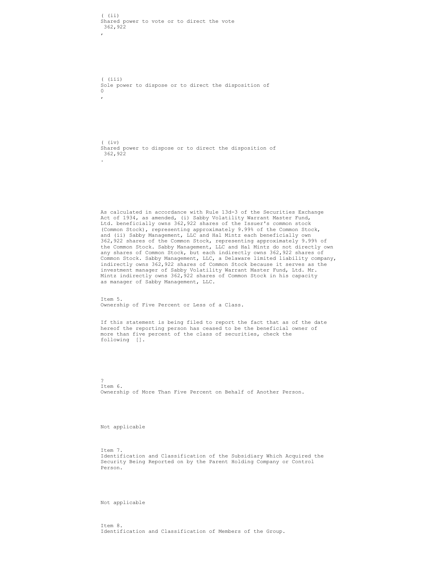$($  (ii) Shared power to vote or to direct the vote 362.922 362,922  $\mathbf{r}$ 

( (iii) Sole power to dispose or to direct the disposition of  $\overline{0}$  $\mathbf{r}$ 

 $(iv)$ Shared power to dispose or to direct the disposition of 362,922 **.** The contract of the contract of the contract of the contract of the contract of the contract of the contract of

As calculated in accordance with Rule 13d-3 of the Securities Exchange Act of 1934, as amended, (i) Sabby Volatility Warrant Master Fund, Ltd. beneficially owns 362,922 shares of the Issuer's common stock (Common Stock), representing approximately 9.99% of the Common Stock, and (ii) Sabby Management, LLC and Hal Mintz each beneficially own 362,922 shares of the Common Stock, representing approximately 9.99% of the Common Stock. Sabby Management, LLC and Hal Mintz do not directly own any shares of Common Stock, but each indirectly owns 362,922 shares of Common Stock. Sabby Management, LLC, a Delaware limited liability company, indirectly owns 362,922 shares of Common Stock because it serves as the investment manager of Sabby Volatility Warrant Master Fund, Ltd. Mr. Mintz indirectly owns 362, 922 shares of Common Stock in his capacity as manager of Sabby Management, LLC.

Item 5. Ownership of Five Percent or Less of a Class.

If this statement is being filed to report the fact that as of the date hereof the reporting person has ceased to be the beneficial owner of more than five percent of the class of securities, check the following [].

? Item 6. Ownership of More Than Five Percent on Behalf of Another Person.

Not applicable

Item 7. Identification and Classification of the Subsidiary Which Acquired the Security Being Reported on by the Parent Holding Company or Control Person.

Not applicable

Item 8. Identification and Classification of Members of the Group.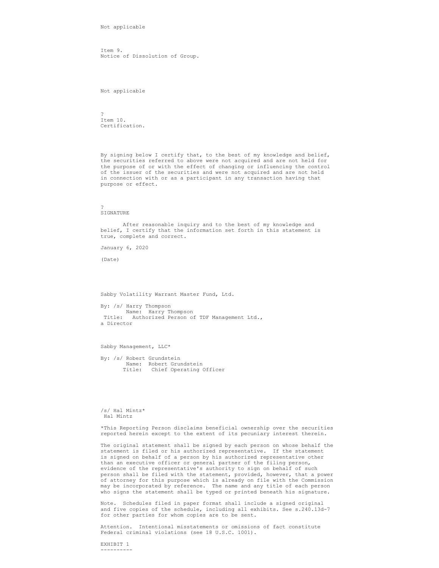Not applicable

Item 9. Notice of Dissolution of Group.

Not applicable

? Item 10. Certification.

By signing below I certify that, to the best of my knowledge and belief, the securities referred to above were not acquired and are not held for the purpose of or with the effect of changing or influencing the control of the issuer of the securities and were not acquired and are not held in connection with or as a participant in any transaction having that purpose or effect.

? **SIGNATURE** 

 After reasonable inquiry and to the best of my knowledge and belief, I certify that the information set forth in this statement is true, complete and correct.

January 6, 2020

(Date)

Sabby Volatility Warrant Master Fund, Ltd.

By: /s/ Harry Thompson Name: Harry Thompson Title: Authorized Person of TDF Management Ltd., a Director

Sabby Management, LLC\*

By: /s/ Robert Grundstein Name: Robert Grundstein and the state of the Name:  $\frac{1}{2}$ Title: Chief Operating Officer and the control of the control of the control of the control of the control of the control of the control of the control of the control of the control of the control of the control of the con

/s/ Hal Mintz\* Hal Mintz

\*This Reporting Person disclaims beneficial ownership over the securities reported herein except to the extent of its pecuniary interest therein.

The original statement shall be signed by each person on whose behalf the statement is filed or his authorized representative. If the statement is signed on behalf of a person by his authorized representative other than an executive officer or general partner of the filing person, evidence of the representative's authority to sign on behalf of such person shall be filed with the statement, provided, however, that a power of attorney for this purpose which is already on file with the Commission may be incorporated by reference. The name and any title of each person who signs the statement shall be typed or printed beneath his signature.

Note. Schedules filed in paper format shall include a signed original and five copies of the schedule, including all exhibits. See s.240.13d-7 for other parties for whom copies are to be sent.

Attention. Intentional misstatements or omissions of fact constitute Federal criminal violations (see 18 U.S.C. 1001).

EXHIBIT 1 ----------